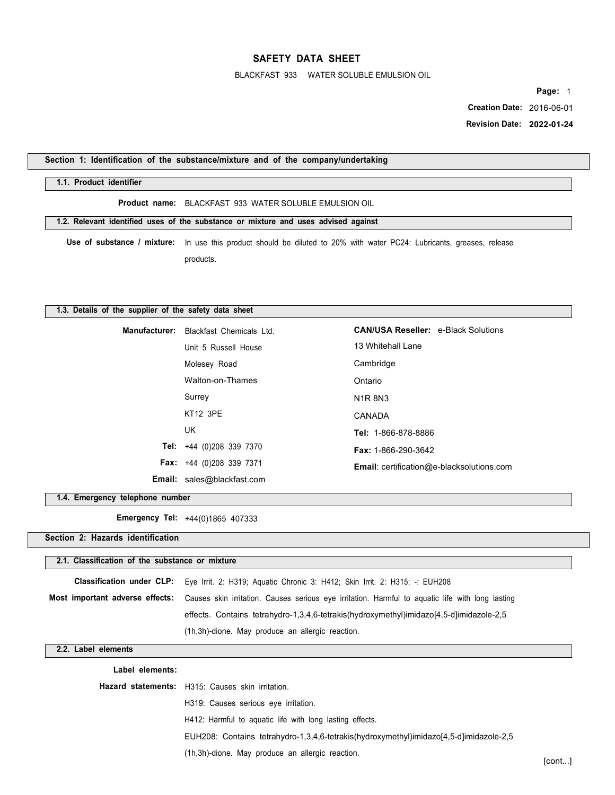BLACKFAST 933 WATER SOLUBLE EMULSION OIL

**Page:** 1

 **Creation Date:** 2016-06-01  **Revision Date: 2022-01-24** 

**Section 1: Identification of the substance/mixture and of the company/undertaking** 

## **1.1. Product identifier**

**Product name:** BLACKFAST 933 WATER SOLUBLE EMULSION OIL

**1.2. Relevant identified uses of the substance or mixture and uses advised against** 

**Use of substance / mixture:** In use this product should be diluted to 20% with water PC24: Lubricants, greases, release products.

### **1.3. Details of the supplier of the safety data sheet**

| <b>Manufacturer:</b> Blackfast Chemicals Ltd. | <b>CAN/USA Reseller: e-Black Solutions</b>       |
|-----------------------------------------------|--------------------------------------------------|
| Unit 5 Russell House                          | 13 Whitehall Lane                                |
| Molesey Road                                  | Cambridge                                        |
| Walton-on-Thames                              | Ontario                                          |
| Surrey                                        | <b>N1R8N3</b>                                    |
| <b>KT12 3PE</b>                               | CANADA                                           |
| UK                                            | Tel: 1-866-878-8886                              |
| <b>Tel:</b> $+44$ (0)208 339 7370             | <b>Fax: 1-866-290-3642</b>                       |
| <b>Fax:</b> $+44$ (0)208 339 7371             | <b>Email:</b> certification@e-blacksolutions.com |
| <b>Email:</b> sales@blackfast.com             |                                                  |

**1.4. Emergency telephone number** 

**Emergency Tel:** +44(0)1865 407333

**Section 2: Hazards identification** 

# **2.1. Classification of the substance or mixture**

| Classification under CLP: Eye Irrit. 2: H319; Aquatic Chronic 3: H412; Skin Irrit. 2: H315; -: EUH208                            |
|----------------------------------------------------------------------------------------------------------------------------------|
| Most important adverse effects: Causes skin irritation. Causes serious eye irritation. Harmful to aquatic life with long lasting |
| effects. Contains tetrahydro-1,3,4,6-tetrakis(hydroxymethyl)imidazo[4,5-d]imidazole-2,5                                          |
| (1h, 3h)-dione. May produce an allergic reaction.                                                                                |

## **2.2. Label elements**

| Label elements: |                                                                                        |
|-----------------|----------------------------------------------------------------------------------------|
|                 | Hazard statements: H315: Causes skin irritation.                                       |
|                 | H319: Causes serious eye irritation.                                                   |
|                 | H412: Harmful to aguatic life with long lasting effects.                               |
|                 | EUH208: Contains tetrahydro-1,3,4,6-tetrakis(hydroxymethyl)imidazo[4,5-d]imidazole-2,5 |
|                 | (1h, 3h)-dione. May produce an allergic reaction.                                      |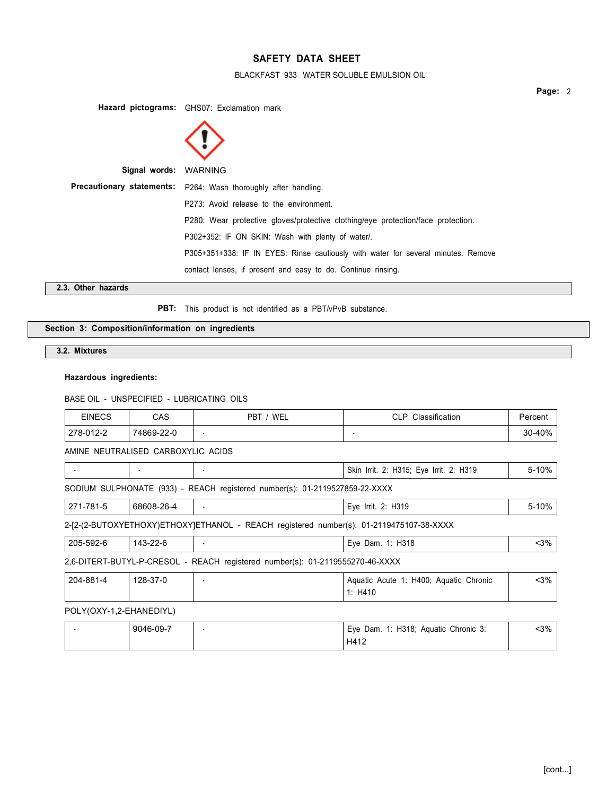# BLACKFAST 933 WATER SOLUBLE EMULSION OIL

**Page:** 2

**Hazard pictograms:** GHS07: Exclamation mark **Signal words:** WARNING **Precautionary statements:** P264: Wash thoroughly after handling. P273: Avoid release to the environment. P280: Wear protective gloves/protective clothing/eye protection/face protection. P302+352: IF ON SKIN: Wash with plenty of water/. P305+351+338: IF IN EYES: Rinse cautiously with water for several minutes. Remove contact lenses, if present and easy to do. Continue rinsing. **2.3. Other hazards** 

PBT: This product is not identified as a PBT/vPvB substance.

# **Section 3: Composition/information on ingredients**

**3.2. Mixtures** 

## **Hazardous ingredients:**

BASE OIL - UNSPECIFIED - LUBRICATING OILS

| <b>EINECS</b>           | CAS                                | PBT / WEL                                                                               | CLP Classification                                | Percent |
|-------------------------|------------------------------------|-----------------------------------------------------------------------------------------|---------------------------------------------------|---------|
| 278-012-2               | 74869-22-0                         | ٠                                                                                       |                                                   | 30-40%  |
|                         | AMINE NEUTRALISED CARBOXYLIC ACIDS |                                                                                         |                                                   |         |
| $\sim$                  |                                    | ٠                                                                                       | Skin Irrit. 2: H315; Eye Irrit. 2: H319           | 5-10%   |
|                         |                                    | SODIUM SULPHONATE (933) - REACH registered number(s): 01-2119527859-22-XXXX             |                                                   |         |
| 271-781-5               | 68608-26-4                         |                                                                                         | Eye Irrit. 2: H319                                | 5-10%   |
|                         |                                    | 2-[2-(2-BUTOXYETHOXY)ETHOXY]ETHANOL - REACH registered number(s): 01-2119475107-38-XXXX |                                                   |         |
| 205-592-6               | 143-22-6                           | ٠                                                                                       | Eye Dam. 1: H318                                  | $3%$    |
|                         |                                    | 2,6-DITERT-BUTYL-P-CRESOL - REACH registered number(s): 01-2119555270-46-XXXX           |                                                   |         |
| 204-881-4               | 128-37-0                           |                                                                                         | Aquatic Acute 1: H400; Aquatic Chronic<br>1: H410 | $3%$    |
| POLY(OXY-1,2-EHANEDIYL) |                                    |                                                                                         |                                                   |         |
|                         | 9046-09-7                          |                                                                                         | Eye Dam. 1: H318; Aquatic Chronic 3:<br>H412      | $3%$    |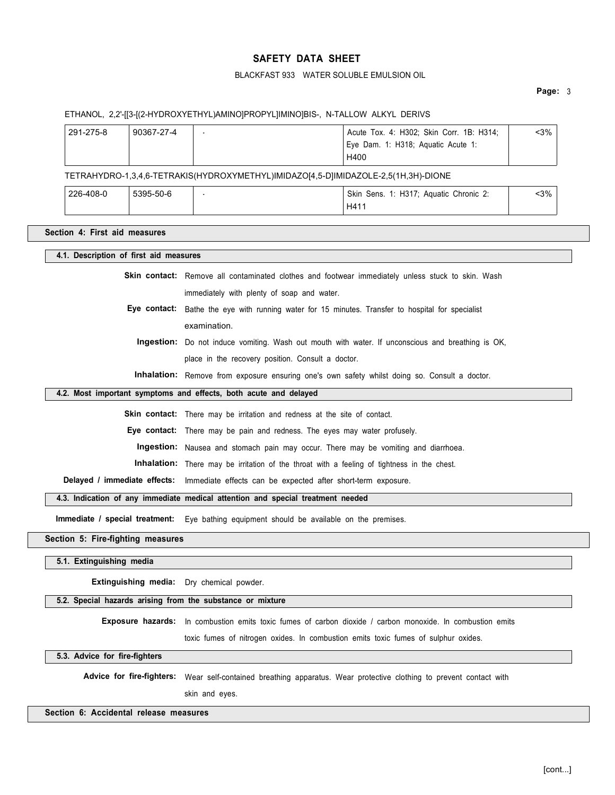## BLACKFAST 933 WATER SOLUBLE EMULSION OIL

### **Page:** 3

### ETHANOL, 2,2'-[[3-[(2-HYDROXYETHYL)AMINO]PROPYL]IMINO]BIS-, N-TALLOW ALKYL DERIVS

| 291-275-8 | 90367-27-4 | Acute Tox. 4: H302; Skin Corr. 1B: H314; | <3% |
|-----------|------------|------------------------------------------|-----|
|           |            | Eye Dam. 1: H318; Aquatic Acute 1:       |     |
|           |            | H400                                     |     |

TETRAHYDRO-1,3,4,6-TETRAKIS(HYDROXYMETHYL)IMIDAZO[4,5-D]IMIDAZOLE-2,5(1H,3H)-DIONE

| 226-408-0 | 5395-50-6 | Skin Sens. 1: H317; Aquatic Chronic 2: | -3% |  |
|-----------|-----------|----------------------------------------|-----|--|
|           |           | H411                                   |     |  |

## **Section 4: First aid measures**

## **4.1. Description of first aid measures**

**Skin contact:** Remove all contaminated clothes and footwear immediately unless stuck to skin. Wash immediately with plenty of soap and water.

**Eye contact:** Bathe the eye with running water for 15 minutes. Transfer to hospital for specialist examination.

**Ingestion:** Do not induce vomiting. Wash out mouth with water. If unconscious and breathing is OK, place in the recovery position. Consult a doctor.

**Inhalation:** Remove from exposure ensuring one's own safety whilst doing so. Consult a doctor.

# **4.2. Most important symptoms and effects, both acute and delayed**

Skin contact: There may be irritation and redness at the site of contact.

**Eye contact:** There may be pain and redness. The eyes may water profusely.

**Ingestion:** Nausea and stomach pain may occur. There may be vomiting and diarrhoea.

**Inhalation:** There may be irritation of the throat with a feeling of tightness in the chest.

**Delayed / immediate effects:** Immediate effects can be expected after short-term exposure.

**4.3. Indication of any immediate medical attention and special treatment needed** 

**Immediate / special treatment:** Eye bathing equipment should be available on the premises.

### **Section 5: Fire-fighting measures**

**5.1. Extinguishing media** 

**Extinguishing media:** Dry chemical powder.

#### **5.2. Special hazards arising from the substance or mixture**

**Exposure hazards:** In combustion emits toxic fumes of carbon dioxide / carbon monoxide. In combustion emits

toxic fumes of nitrogen oxides. In combustion emits toxic fumes of sulphur oxides.

### **5.3. Advice for fire-fighters**

Advice for fire-fighters: Wear self-contained breathing apparatus. Wear protective clothing to prevent contact with

skin and eyes.

# **Section 6: Accidental release measures**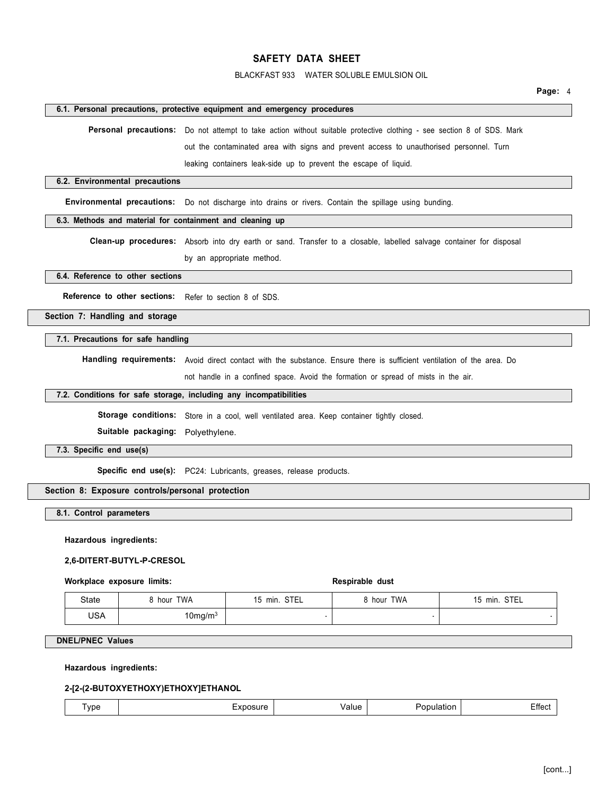## BLACKFAST 933 WATER SOLUBLE EMULSION OIL

### **6.1. Personal precautions, protective equipment and emergency procedures**

Personal precautions: Do not attempt to take action without suitable protective clothing - see section 8 of SDS. Mark

out the contaminated area with signs and prevent access to unauthorised personnel. Turn

leaking containers leak-side up to prevent the escape of liquid.

## **6.2. Environmental precautions**

**Environmental precautions:** Do not discharge into drains or rivers. Contain the spillage using bunding.

## **6.3. Methods and material for containment and cleaning up**

**Clean-up procedures:** Absorb into dry earth or sand. Transfer to a closable, labelled salvage container for disposal by an appropriate method.

**6.4. Reference to other sections** 

**Reference to other sections:** Refer to section 8 of SDS.

**Section 7: Handling and storage** 

#### **7.1. Precautions for safe handling**

**Handling requirements:** Avoid direct contact with the substance. Ensure there is sufficient ventilation of the area. Do

not handle in a confined space. Avoid the formation or spread of mists in the air.

## **7.2. Conditions for safe storage, including any incompatibilities**

Storage conditions: Store in a cool, well ventilated area. Keep container tightly closed.

**Suitable packaging:** Polyethylene.

## **7.3. Specific end use(s)**

**Specific end use(s):** PC24: Lubricants, greases, release products.

## **Section 8: Exposure controls/personal protection**

**8.1. Control parameters** 

**Hazardous ingredients:** 

### **2,6-DITERT-BUTYL-P-CRESOL**

### Workplace exposure limits: **Respirable dust** Respirable dust

| <b>State</b> | <b>TWA</b><br>hour | STEL<br>min.<br>າົ | 8 hour TWA | 15 min. STEL |
|--------------|--------------------|--------------------|------------|--------------|
| USA          | 10 $mq/m^3$        |                    |            |              |

## **DNEL/PNEC Values**

## **Hazardous ingredients:**

#### **2-[2-(2-BUTOXYETHOXY)ETHOXY]ETHANOL**

| vpe | $- - - - - - -$<br><b>A 2.50</b><br> | ∀al⊔e. | - - - - -<br>ulatior<br>,,,, | --<br>πeσ<br>$-$ |
|-----|--------------------------------------|--------|------------------------------|------------------|
|-----|--------------------------------------|--------|------------------------------|------------------|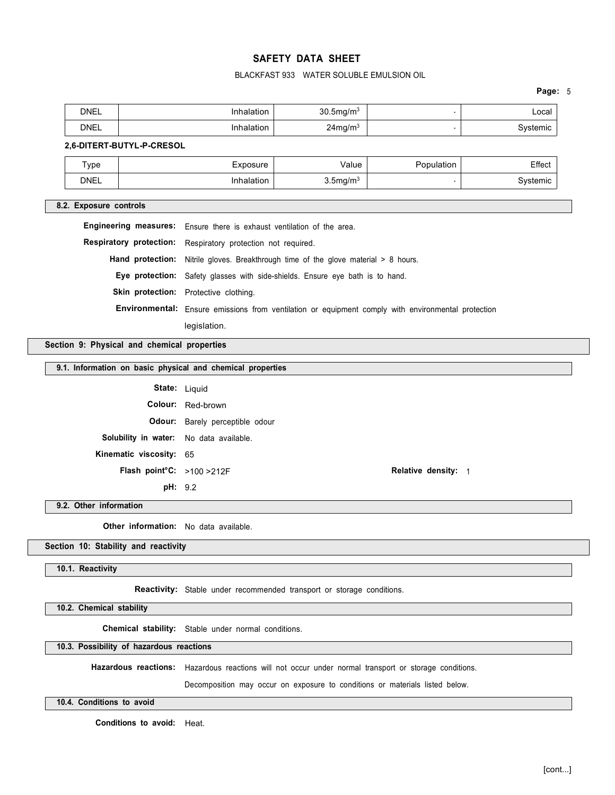# BLACKFAST 933 WATER SOLUBLE EMULSION OIL

**Page:** 5

| Local | $30.5$ ma/m $3$               | ılatı∩n | <b>DNEL</b><br>----- |
|-------|-------------------------------|---------|----------------------|
| temic | $24$ mg/m $3$<br>$  -$<br>. . | lation  | <b>DNEL</b>          |

## **2,6-DITERT-BUTYL-P-CRESOL**

| Type        | Exposure | Value                   | Effect |
|-------------|----------|-------------------------|--------|
| <b>DNEL</b> |          | $3.5$ mg/m <sup>3</sup> | temic  |

## **8.2. Exposure controls**

**Engineering measures:** Ensure there is exhaust ventilation of the area.

**Respiratory protection:** Respiratory protection not required.

Hand protection: Nitrile gloves. Breakthrough time of the glove material > 8 hours.

**Eye protection:** Safety glasses with side-shields. Ensure eye bath is to hand.

Skin protection: Protective clothing.

**Environmental:** Ensure emissions from ventilation or equipment comply with environmental protection legislation.

**Section 9: Physical and chemical properties** 

#### **9.1. Information on basic physical and chemical properties**

| <b>State: Liquid</b>                           |                                        |
|------------------------------------------------|----------------------------------------|
|                                                | <b>Colour:</b> Red-brown               |
|                                                | <b>Odour:</b> Barely perceptible odour |
| <b>Solubility in water:</b> No data available. |                                        |
| Kinematic viscosity: 65                        |                                        |
| Flash point°C: >100 >212F                      |                                        |
| pH: 9.2                                        |                                        |

**Relative density: 1** 

#### **9.2. Other information**

**Other information:** No data available.

### **Section 10: Stability and reactivity**

## **10.1. Reactivity**

**Reactivity:** Stable under recommended transport or storage conditions.

**10.2. Chemical stability** 

**Chemical stability:** Stable under normal conditions.

## **10.3. Possibility of hazardous reactions**

**Hazardous reactions:** Hazardous reactions will not occur under normal transport or storage conditions.

Decomposition may occur on exposure to conditions or materials listed below.

### **10.4. Conditions to avoid**

**Conditions to avoid:** Heat.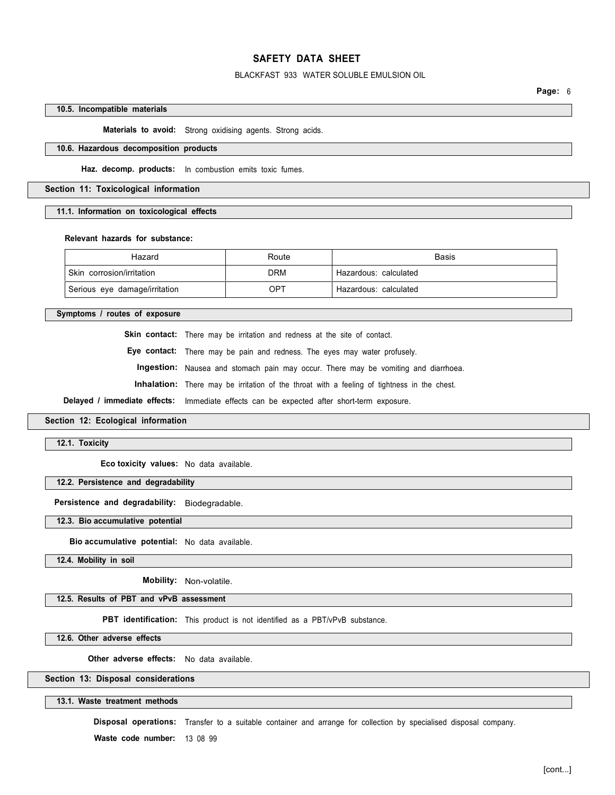## BLACKFAST 933 WATER SOLUBLE EMULSION OIL

**Page:** 6

### **10.5. Incompatible materials**

**Materials to avoid:** Strong oxidising agents. Strong acids.

### **10.6. Hazardous decomposition products**

**Haz. decomp. products:** In combustion emits toxic fumes.

## **Section 11: Toxicological information**

**11.1. Information on toxicological effects** 

### **Relevant hazards for substance:**

| Hazard                        | Route      | <b>Basis</b>            |
|-------------------------------|------------|-------------------------|
| Skin corrosion/irritation     | <b>DRM</b> | ' Hazardous: calculated |
| Serious eye damage/irritation | OPT        | Hazardous: calculated   |

**Symptoms / routes of exposure** 

Skin contact: There may be irritation and redness at the site of contact.

**Eye contact:** There may be pain and redness. The eyes may water profusely.

**Ingestion:** Nausea and stomach pain may occur. There may be vomiting and diarrhoea.

**Inhalation:** There may be irritation of the throat with a feeling of tightness in the chest.

**Delayed / immediate effects:** Immediate effects can be expected after short-term exposure.

### **Section 12: Ecological information**

**12.1. Toxicity** 

**Eco toxicity values:** No data available.

## **12.2. Persistence and degradability**

**Persistence and degradability:** Biodegradable.

**12.3. Bio accumulative potential** 

**Bio accumulative potential:** No data available.

**12.4. Mobility in soil** 

**Mobility:** Non-volatile.

## **12.5. Results of PBT and vPvB assessment**

**PBT identification:** This product is not identified as a PBT/vPvB substance.

**12.6. Other adverse effects** 

**Other adverse effects:** No data available.

# **Section 13: Disposal considerations**

**13.1. Waste treatment methods** 

**Disposal operations:** Transfer to a suitable container and arrange for collection by specialised disposal company.

**Waste code number:** 13 08 99